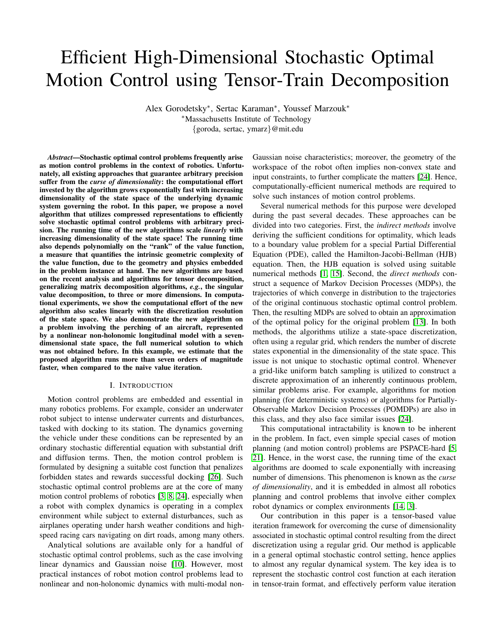# Efficient High-Dimensional Stochastic Optimal Motion Control using Tensor-Train Decomposition

Alex Gorodetsky<sup>∗</sup> , Sertac Karaman<sup>∗</sup> , Youssef Marzouk<sup>∗</sup> <sup>∗</sup>Massachusetts Institute of Technology {goroda, sertac, ymarz}@mit.edu

*Abstract*—Stochastic optimal control problems frequently arise as motion control problems in the context of robotics. Unfortunately, all existing approaches that guarantee arbitrary precision suffer from the *curse of dimensionality*: the computational effort invested by the algorithm grows exponentially fast with increasing dimensionality of the state space of the underlying dynamic system governing the robot. In this paper, we propose a novel algorithm that utilizes compressed representations to efficiently solve stochastic optimal control problems with arbitrary precision. The running time of the new algorithms scale *linearly* with increasing dimensionality of the state space! The running time also depends polynomially on the "rank" of the value function, a measure that quantifies the intrinsic geometric complexity of the value function, due to the geometry and physics embedded in the problem instance at hand. The new algorithms are based on the recent analysis and algorithms for tensor decomposition, generalizing matrix decomposition algorithms, *e.g.*, the singular value decomposition, to three or more dimensions. In computational experiments, we show the computational effort of the new algorithm also scales linearly with the discretization resolution of the state space. We also demonstrate the new algorithm on a problem involving the perching of an aircraft, represented by a nonlinear non-holonomic longitudinal model with a sevendimensional state space, the full numerical solution to which was not obtained before. In this example, we estimate that the proposed algorithm runs more than seven orders of magnitude faster, when compared to the naive value iteration.

#### I. INTRODUCTION

Motion control problems are embedded and essential in many robotics problems. For example, consider an underwater robot subject to intense underwater currents and disturbances, tasked with docking to its station. The dynamics governing the vehicle under these conditions can be represented by an ordinary stochastic differential equation with substantial drift and diffusion terms. Then, the motion control problem is formulated by designing a suitable cost function that penalizes forbidden states and rewards successful docking [\[26\]](#page-8-0). Such stochastic optimal control problems are at the core of many motion control problems of robotics [\[3,](#page-8-1) [8,](#page-8-2) [24\]](#page-8-3), especially when a robot with complex dynamics is operating in a complex environment while subject to external disturbances, such as airplanes operating under harsh weather conditions and highspeed racing cars navigating on dirt roads, among many others.

Analytical solutions are available only for a handful of stochastic optimal control problems, such as the case involving linear dynamics and Gaussian noise [\[10\]](#page-8-4). However, most practical instances of robot motion control problems lead to nonlinear and non-holonomic dynamics with multi-modal nonGaussian noise characteristics; moreover, the geometry of the workspace of the robot often implies non-convex state and input constraints, to further complicate the matters [\[24\]](#page-8-3). Hence, computationally-efficient numerical methods are required to solve such instances of motion control problems.

Several numerical methods for this purpose were developed during the past several decades. These approaches can be divided into two categories. First, the *indirect methods* involve deriving the sufficient conditions for optimality, which leads to a boundary value problem for a special Partial Differential Equation (PDE), called the Hamilton-Jacobi-Bellman (HJB) equation. Then, the HJB equation is solved using suitable numerical methods [\[1,](#page-8-5) [15\]](#page-8-6). Second, the *direct methods* construct a sequence of Markov Decision Processes (MDPs), the trajectories of which converge in distribution to the trajectories of the original continuous stochastic optimal control problem. Then, the resulting MDPs are solved to obtain an approximation of the optimal policy for the original problem [\[13\]](#page-8-7). In both methods, the algorithms utilize a state-space discretization, often using a regular grid, which renders the number of discrete states exponential in the dimensionality of the state space. This issue is not unique to stochastic optimal control. Whenever a grid-like uniform batch sampling is utilized to construct a discrete approximation of an inherently continuous problem, similar problems arise. For example, algorithms for motion planning (for deterministic systems) or algorithms for Partially-Observable Markov Decision Processes (POMDPs) are also in this class, and they also face similar issues [\[24\]](#page-8-3).

This computational intractability is known to be inherent in the problem. In fact, even simple special cases of motion planning (and motion control) problems are PSPACE-hard [\[5,](#page-8-8) [21\]](#page-8-9). Hence, in the worst case, the running time of the exact algorithms are doomed to scale exponentially with increasing number of dimensions. This phenomenon is known as the *curse of dimensionality*, and it is embedded in almost all robotics planning and control problems that involve either complex robot dynamics or complex environments [\[14,](#page-8-10) [3\]](#page-8-1).

Our contribution in this paper is a tensor-based value iteration framework for overcoming the curse of dimensionality associated in stochastic optimal control resulting from the direct discretization using a regular grid. Our method is applicable in a general optimal stochastic control setting, hence applies to almost any regular dynamical system. The key idea is to represent the stochastic control cost function at each iteration in tensor-train format, and effectively perform value iteration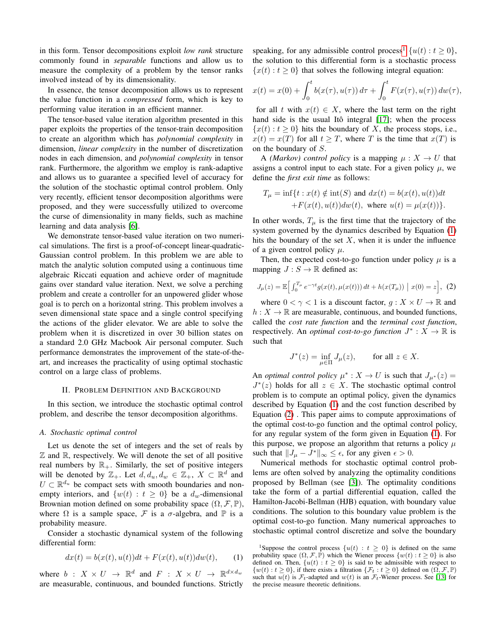in this form. Tensor decompositions exploit *low rank* structure commonly found in *separable* functions and allow us to measure the complexity of a problem by the tensor ranks involved instead of by its dimensionality.

In essence, the tensor decomposition allows us to represent the value function in a *compressed* form, which is key to performing value iteration in an efficient manner.

The tensor-based value iteration algorithm presented in this paper exploits the properties of the tensor-train decomposition to create an algorithm which has *polynomial complexity* in dimension, *linear complexity* in the number of discretization nodes in each dimension, and *polynomial complexity* in tensor rank. Furthermore, the algorithm we employ is rank-adaptive and allows us to guarantee a specified level of accuracy for the solution of the stochastic optimal control problem. Only very recently, efficient tensor decomposition algorithms were proposed, and they were successfully utilized to overcome the curse of dimensionality in many fields, such as machine learning and data analysis [\[6\]](#page-8-11).

We demonstrate tensor-based value iteration on two numerical simulations. The first is a proof-of-concept linear-quadratic-Gaussian control problem. In this problem we are able to match the analytic solution computed using a continuous time algebraic Riccati equation and achieve order of magnitude gains over standard value iteration. Next, we solve a perching problem and create a controller for an unpowered glider whose goal is to perch on a horizontal string. This problem involves a seven dimensional state space and a single control specifying the actions of the glider elevator. We are able to solve the problem when it is discretized in over 30 billion states on a standard 2.0 GHz Macbook Air personal computer. Such performance demonstrates the improvement of the state-of-theart, and increases the practicality of using optimal stochastic control on a large class of problems.

### II. PROBLEM DEFINITION AND BACKGROUND

In this section, we introduce the stochastic optimal control problem, and describe the tensor decomposition algorithms.

#### *A. Stochastic optimal control*

Let us denote the set of integers and the set of reals by  $\mathbb Z$  and  $\mathbb R$ , respectively. We will denote the set of all positive real numbers by  $\mathbb{R}_+$ . Similarly, the set of positive integers will be denoted by  $\mathbb{Z}_+$ . Let  $d, d_u, d_w \in \mathbb{Z}_+$ ,  $X \subset \mathbb{R}^d$  and  $U \subset \mathbb{R}^{d_u}$  be compact sets with smooth boundaries and nonempty interiors, and  $\{w(t) : t \geq 0\}$  be a  $d_w$ -dimensional Brownian motion defined on some probability space  $(\Omega, \mathcal{F}, \mathbb{P}),$ where  $\Omega$  is a sample space, F is a  $\sigma$ -algebra, and  $\mathbb P$  is a probability measure.

Consider a stochastic dynamical system of the following differential form:

$$
dx(t) = b(x(t), u(t))dt + F(x(t), u(t))dw(t),
$$
 (1)

where  $b : X \times U \to \mathbb{R}^d$  and  $F : X \times U \to \mathbb{R}^{d \times d_w}$ are measurable, continuous, and bounded functions. Strictly speaking, for any admissible control process<sup>[1](#page-1-0)</sup>  $\{u(t): t \geq 0\}$ , the solution to this differential form is a stochastic process  ${x(t) : t \ge 0}$  that solves the following integral equation:

$$
x(t) = x(0) + \int_0^t b(x(\tau), u(\tau)) d\tau + \int_0^t F(x(\tau), u(\tau)) dw(\tau),
$$

for all t with  $x(t) \in X$ , where the last term on the right hand side is the usual Itô integral  $[17]$  $[17]$ ; when the process  ${x(t) : t \ge 0}$  hits the boundary of X, the process stops, i.e.,  $x(t) = x(T)$  for all  $t \geq T$ , where T is the time that  $x(T)$  is on the boundary of S.

A *(Markov) control policy* is a mapping  $\mu : X \to U$  that assigns a control input to each state. For a given policy  $\mu$ , we define the *first exit time* as follows:

$$
T_{\mu} = \inf\{t : x(t) \notin \text{int}(S) \text{ and } dx(t) = b(x(t), u(t))dt
$$
  
+
$$
F(x(t), u(t))dw(t), \text{ where } u(t) = \mu(x(t))\}.
$$

In other words,  $T_{\mu}$  is the first time that the trajectory of the system governed by the dynamics described by Equation [\(1\)](#page-1-1) hits the boundary of the set  $X$ , when it is under the influence of a given control policy  $\mu$ .

<span id="page-1-2"></span>Then, the expected cost-to-go function under policy  $\mu$  is a mapping  $J : S \to \mathbb{R}$  defined as:

$$
J_{\mu}(z) = \mathbb{E}\Big[\int_0^{T_{\mu}} e^{-\gamma t} g(x(t), \mu(x(t))) dt + h(x(T_{\mu})) | x(0) = z \Big], (2)
$$

where  $0 < \gamma < 1$  is a discount factor,  $g: X \times U \to \mathbb{R}$  and  $h: X \to \mathbb{R}$  are measurable, continuous, and bounded functions, called the *cost rate function* and the *terminal cost function*, respectively. An *optimal cost-to-go function*  $J^* : X \to \mathbb{R}$  is such that

$$
J^*(z) = \inf_{\mu \in \Pi} J_{\mu}(z), \quad \text{for all } z \in X.
$$

An *optimal control policy*  $\mu^*$ :  $X \to U$  is such that  $J_{\mu^*}(z) =$  $J^*(z)$  holds for all  $z \in X$ . The stochastic optimal control problem is to compute an optimal policy, given the dynamics described by Equation [\(1\)](#page-1-1) and the cost function described by Equation [\(2\)](#page-1-2) . This paper aims to compute approximations of the optimal cost-to-go function and the optimal control policy, for any regular system of the form given in Equation [\(1\)](#page-1-1). For this purpose, we propose an algorithm that returns a policy  $\mu$ such that  $||J_{\mu} - J^*||_{\infty} \leq \epsilon$ , for any given  $\epsilon > 0$ .

Numerical methods for stochastic optimal control problems are often solved by analyzing the optimality conditions proposed by Bellman (see [\[3\]](#page-8-1)). The optimality conditions take the form of a partial differential equation, called the Hamilton-Jacobi-Bellman (HJB) equation, with boundary value conditions. The solution to this boundary value problem is the optimal cost-to-go function. Many numerical approaches to stochastic optimal control discretize and solve the boundary

<span id="page-1-1"></span><span id="page-1-0"></span><sup>1</sup>Suppose the control process  $\{u(t) : t \geq 0\}$  is defined on the same probability space  $(\Omega, \mathcal{F}, \mathbb{P})$  which the Wiener process  $\{w(t) : t \geq 0\}$  is also defined on. Then,  $\{u(t): t \geq 0\}$  is said to be admissible with respect to  $\{w(t): t \geq 0\}$ , if there exists a filtration  $\{\mathcal{F}_t: t \geq 0\}$  defined on  $(\Omega, \mathcal{F}, \mathbb{P})$ such that  $u(t)$  is  $\mathcal{F}_t$ -adapted and  $w(t)$  is an  $\mathcal{F}_t$ -Wiener process. See [\[13\]](#page-8-7) for the precise measure theoretic definitions.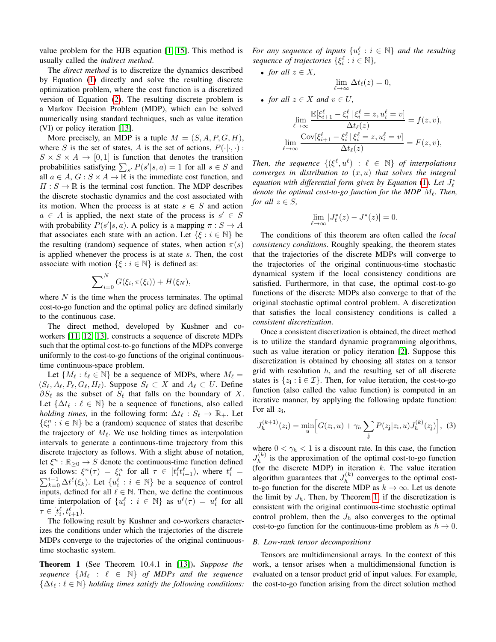value problem for the HJB equation [\[1,](#page-8-5) [15\]](#page-8-6). This method is usually called the *indirect method*.

The *direct method* is to discretize the dynamics described by Equation [\(1\)](#page-1-1) directly and solve the resulting discrete optimization problem, where the cost function is a discretized version of Equation [\(2\)](#page-1-2). The resulting discrete problem is a Markov Decision Problem (MDP), which can be solved numerically using standard techniques, such as value iteration (VI) or policy iteration [\[13\]](#page-8-7).

More precisely, an MDP is a tuple  $M = (S, A, P, G, H)$ , where S is the set of states, A is the set of actions,  $P(\cdot|\cdot,\cdot)$ :  $S \times S \times A \rightarrow [0, 1]$  is function that denotes the transition probabilities satisfying  $\sum_{s'} P(s'|s, a) = 1$  for all  $s \in S$  and all  $a \in A$ ,  $G : S \times A \rightarrow \mathbb{R}$  is the immediate cost function, and  $H : S \to \mathbb{R}$  is the terminal cost function. The MDP describes the discrete stochastic dynamics and the cost associated with its motion. When the process is at state  $s \in S$  and action  $a \in A$  is applied, the next state of the process is  $s' \in S$ with probability  $P(s'|s, a)$ . A policy is a mapping  $\pi : S \to A$ that associates each state with an action. Let  $\{\xi : i \in \mathbb{N}\}\)$ the resulting (random) sequence of states, when action  $\pi(s)$ is applied whenever the process is at state s. Then, the cost associate with motion  $\{\xi : i \in \mathbb{N}\}\$ is defined as:

$$
\sum\nolimits_{i=0}^{N} G(\xi_i, \pi(\xi_i)) + H(\xi_N),
$$

where  $N$  is the time when the process terminates. The optimal cost-to-go function and the optimal policy are defined similarly to the continuous case.

The direct method, developed by Kushner and coworkers [\[11,](#page-8-13) [12,](#page-8-14) [13\]](#page-8-7), constructs a sequence of discrete MDPs such that the optimal cost-to-go functions of the MDPs converge uniformly to the cost-to-go functions of the original continuoustime continuous-space problem.

Let  $\{M_\ell : \ell_\ell \in \mathbb{N}\}$  be a sequence of MDPs, where  $M_\ell =$  $(S_{\ell}, A_{\ell}, P_{\ell}, G_{\ell}, H_{\ell})$ . Suppose  $S_{\ell} \subset X$  and  $A_{\ell} \subset U$ . Define  $\partial S_\ell$  as the subset of  $S_\ell$  that falls on the boundary of X. Let  $\{\Delta t_\ell : \ell \in \mathbb{N}\}\$  be a sequence of functions, also called *holding times*, in the following form:  $\Delta t_{\ell}$  :  $S_{\ell} \to \mathbb{R}_{+}$ . Let  $\{\xi_i^n : i \in \mathbb{N}\}$  be a (random) sequence of states that describe the trajectory of  $M_\ell$ . We use holding times as interpolation intervals to generate a continuous-time trajectory from this discrete trajectory as follows. With a slight abuse of notation, let  $\xi^n : \mathbb{R}_{\geq 0} \to S$  denote the continuous-time function defined as follows:  $\xi^{n}(\tau) = \xi_{i}^{n}$  for all  $\tau \in [t_{i}^{\ell} t_{i+1}^{\ell})$ , where  $t_{i}^{\ell} =$  $\sum_{k=0}^{i-1} \Delta t^{\ell}(\xi_k)$ . Let  $\{u_i^{\ell}: i \in \mathbb{N}\}$  be a sequence of control inputs, defined for all  $\ell \in \mathbb{N}$ . Then, we define the continuous time interpolation of  $\{u_i^{\ell}: i \in \mathbb{N}\}\$ as  $u^{\ell}(\tau) = u_i^{\ell}$  for all  $\tau \in [t_i^{\ell}, t_{i+1}^{\ell}).$ 

The following result by Kushner and co-workers characterizes the conditions under which the trajectories of the discrete MDPs converge to the trajectories of the original continuoustime stochastic system.

<span id="page-2-0"></span>Theorem 1 (See Theorem 10.4.1 in [\[13\]](#page-8-7)). *Suppose the sequence*  $\{M_\ell : \ell \in \mathbb{N}\}\$  *of MDPs and the sequence*  $\{\Delta t_\ell : \ell \in \mathbb{N}\}\$  *holding times satisfy the following conditions:*  *For any sequence of inputs*  $\{u_i^{\ell}: i \in \mathbb{N}\}\$  *and the resulting sequence of trajectories*  $\{\xi_i^{\ell} : i \in \mathbb{N}\},\$ 

• *for all*  $z \in X$ *,*  $\lim_{\ell \to \infty} \Delta t_{\ell}(z) = 0,$ 

• *for all*  $z \in X$  *and*  $v \in U$ *,* 

$$
\lim_{\ell \to \infty} \frac{\mathbb{E}[\xi_{i+1}^{\ell} - \xi_i^{\ell} | \xi_i^{\ell} = z, u_i^{\ell} = v]}{\Delta t_{\ell}(z)} = f(z, v),
$$
  

$$
\lim_{\ell \to \infty} \frac{\text{Cov}[\xi_{i+1}^{\ell} - \xi_i^{\ell} | \xi_i^{\ell} = z, u_i^{\ell} = v]}{\Delta t_{\ell}(z)} = F(z, v),
$$

*Then, the sequence*  ${(\xi^{\ell}, u^{\ell}) : \ell \in \mathbb{N}}$  *of interpolations converges in distribution to*  $(x, u)$  *that solves the integral equation with differential form given by Equation* [\(1\)](#page-1-1)*. Let* J ∗ ` *denote the optimal cost-to-go function for the MDP* M`*. Then, for all*  $z \in S$ *,* 

$$
\lim_{\ell \to \infty} |J_{\ell}^{*}(z) - J^{*}(z)| = 0.
$$

The conditions of this theorem are often called the *local consistency conditions*. Roughly speaking, the theorem states that the trajectories of the discrete MDPs will converge to the trajectories of the original continuous-time stochastic dynamical system if the local consistency conditions are satisfied. Furthermore, in that case, the optimal cost-to-go functions of the discrete MDPs also converge to that of the original stochastic optimal control problem. A discretization that satisfies the local consistency conditions is called a *consistent discretization*.

Once a consistent discretization is obtained, the direct method is to utilize the standard dynamic programming algorithms, such as value iteration or policy iteration [\[2\]](#page-8-15). Suppose this discretization is obtained by choosing all states on a tensor grid with resolution  $h$ , and the resulting set of all discrete states is  $\{z_i : i \in \mathcal{I}\}\)$ . Then, for value iteration, the cost-to-go function (also called the value function) is computed in an iterative manner, by applying the following update function: For all  $z_i$ ,

<span id="page-2-1"></span>
$$
J_h^{(k+1)}(z_1) = \min_u \Big[ G(z_1, u) + \gamma_h \sum_j P(z_j | z_1, u) J_h^{(k)}(z_j) \Big], \tag{3}
$$

where  $0 < \gamma_h < 1$  is a discount rate. In this case, the function  $J_h^{(k)}$  $h_h^{(k)}$  is the approximation of the optimal cost-to-go function (for the discrete MDP) in iteration  $k$ . The value iteration algorithm guarantees that  $J_h^{(k)}$  $h^{(k)}$  converges to the optimal costto-go function for the discrete MDP as  $k \to \infty$ . Let us denote the limit by  $J_h$ . Then, by Theorem [1,](#page-2-0) if the discretization is consistent with the original continuous-time stochastic optimal control problem, then the  $J_h$  also converges to the optimal cost-to-go function for the continuous-time problem as  $h \to 0$ .

#### *B. Low-rank tensor decompositions*

Tensors are multidimensional arrays. In the context of this work, a tensor arises when a multidimensional function is evaluated on a tensor product grid of input values. For example, the cost-to-go function arising from the direct solution method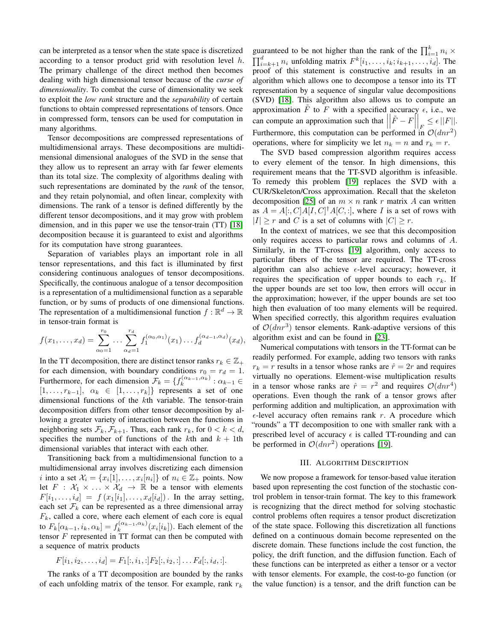can be interpreted as a tensor when the state space is discretized according to a tensor product grid with resolution level  $h$ . The primary challenge of the direct method then becomes dealing with high dimensional tensor because of the *curse of dimensionality*. To combat the curse of dimensionality we seek to exploit the *low rank* structure and the *separability* of certain functions to obtain compressed representations of tensors. Once in compressed form, tensors can be used for computation in many algorithms.

Tensor decompositions are compressed representations of multidimensional arrays. These decompositions are multidimensional dimensional analogues of the SVD in the sense that they allow us to represent an array with far fewer elements than its total size. The complexity of algorithms dealing with such representations are dominated by the *rank* of the tensor, and they retain polynomial, and often linear, complexity with dimensions. The rank of a tensor is defined differently by the different tensor decompositions, and it may grow with problem dimension, and in this paper we use the tensor-train (TT) [\[18\]](#page-8-16) decomposition because it is guaranteed to exist and algorithms for its computation have strong guarantees.

Separation of variables plays an important role in all tensor representations, and this fact is illuminated by first considering continuous analogues of tensor decompositions. Specifically, the continuous analogue of a tensor decomposition is a representation of a multidimensional function as a separable function, or by sums of products of one dimensional functions. The representation of a multidimensional function  $f : \mathbb{R}^d \to \mathbb{R}$ in tensor-train format is

$$
f(x_1,...,x_d) = \sum_{\alpha_0=1}^{r_0} \dots \sum_{\alpha_d=1}^{r_d} f_1^{(\alpha_0,\alpha_1)}(x_1) \dots f_d^{(\alpha_{d-1},\alpha_d)}(x_d),
$$

In the TT decomposition, there are distinct tensor ranks  $r_k \in \mathbb{Z}_+$ for each dimension, with boundary conditions  $r_0 = r_d = 1$ . Furthermore, for each dimension  $\mathcal{F}_k = \{f_k^{(\alpha_{k-1}, \alpha_k)} : \alpha_{k-1} \in$  $[1, \ldots, r_{k-1}], \alpha_k \in [1, \ldots, r_k]$  represents a set of one dimensional functions of the kth variable. The tensor-train decomposition differs from other tensor decomposition by allowing a greater variety of interaction between the functions in neighboring sets  $\mathcal{F}_k, \mathcal{F}_{k+1}$ . Thus, each rank  $r_k$ , for  $0 < k < d$ , specifies the number of functions of the kth and  $k + 1$ th dimensional variables that interact with each other.

Transitioning back from a multidimensional function to a multidimensional array involves discretizing each dimension *i* into a set  $\mathcal{X}_i = \{x_i[1], \dots, x_i[n_i]\}$  of  $n_i \in \mathbb{Z}_+$  points. Now let  $F : \mathcal{X}_1 \times \ldots \times \mathcal{X}_d \rightarrow \mathbb{R}$  be a tensor with elements  $F[i_1, \ldots, i_d] = f(x_1[i_1], \ldots, x_d[i_d])$ . In the array setting, each set  $\mathcal{F}_k$  can be represented as a three dimensional array  $F_k$ , called a core, where each element of each core is equal to  $F_k[\alpha_{k-1}, i_k, \alpha_k] = f_k^{(\alpha_{k-1}, \alpha_k)}(x_i[i_k])$ . Each element of the tensor  $F$  represented in TT format can then be computed with a sequence of matrix products

$$
F[i_1, i_2, \ldots, i_d] = F_1[:, i_1, :] F_2[:, i_2, :] \ldots F_d[:, i_d, :].
$$

The ranks of a TT decomposition are bounded by the ranks of each unfolding matrix of the tensor. For example, rank  $r_k$ 

guaranteed to be not higher than the rank of the  $\prod_{i=1}^{k} n_i \times$  $\prod_{i=k+1}^{d} n_i$  unfolding matrix  $F^k[i_1,\ldots,i_k;i_{k+1},\ldots,i_d]$ . The proof of this statement is constructive and results in an algorithm which allows one to decompose a tensor into its TT representation by a sequence of singular value decompositions (SVD) [\[18\]](#page-8-16). This algorithm also allows us to compute an approximation F to F with a specified accuracy  $\epsilon$ , i.e., we can compute an approximation such that  $\left| \begin{array}{c} 1 \\ 1 \end{array} \right|$  $\left|\tilde{F} - F\right|$  $\left|\mathbb{F}\right| \leq \epsilon$   $||F||$ . Furthermore, this computation can be performed in  $\mathcal{O}(dnr^2)$ operations, where for simplicity we let  $n_k = n$  and  $r_k = r$ .

The SVD based compression algorithm requires access to every element of the tensor. In high dimensions, this requirement means that the TT-SVD algorithm is infeasible. To remedy this problem [\[19\]](#page-8-17) replaces the SVD with a CUR/Skeleton/Cross approximation. Recall that the skeleton decomposition [\[25\]](#page-8-18) of an  $m \times n$  rank r matrix A can written as  $A = A[:, C]A[I, C]^{\dagger}A[C, :]$ , where I is a set of rows with  $|I| \geq r$  and C is a set of columns with  $|C| \geq r$ .

In the context of matrices, we see that this decomposition only requires access to particular rows and columns of A. Similarly, in the TT-cross [\[19\]](#page-8-17) algorithm, only access to particular fibers of the tensor are required. The TT-cross algorithm can also achieve  $\epsilon$ -level accuracy; however, it requires the specification of upper bounds to each  $r_k$ . If the upper bounds are set too low, then errors will occur in the approximation; however, if the upper bounds are set too high then evaluation of too many elements will be required. When specified correctly, this algorithm requires evaluation of  $O(dnr^3)$  tensor elements. Rank-adaptive versions of this algorithm exist and can be found in [\[23\]](#page-8-19).

Numerical computations with tensors in the TT-format can be readily performed. For example, adding two tensors with ranks  $r_k = r$  results in a tensor whose ranks are  $\hat{r} = 2r$  and requires virtually no operations. Element-wise multiplication results in a tensor whose ranks are  $\hat{r} = r^2$  and requires  $\mathcal{O}(dnr^4)$ operations. Even though the rank of a tensor grows after performing addition and multiplication, an approximation with  $\epsilon$ -level accuracy often remains rank r. A procedure which "rounds" a TT decomposition to one with smaller rank with a prescribed level of accuracy  $\epsilon$  is called TT-rounding and can be performed in  $\mathcal{O}(dnr^2)$  operations [\[19\]](#page-8-17).

#### III. ALGORITHM DESCRIPTION

We now propose a framework for tensor-based value iteration based upon representing the cost function of the stochastic control problem in tensor-train format. The key to this framework is recognizing that the direct method for solving stochastic control problems often requires a tensor product discretization of the state space. Following this discretization all functions defined on a continuous domain become represented on the discrete domain. These functions include the cost function, the policy, the drift function, and the diffusion function. Each of these functions can be interpreted as either a tensor or a vector with tensor elements. For example, the cost-to-go function (or the value function) is a tensor, and the drift function can be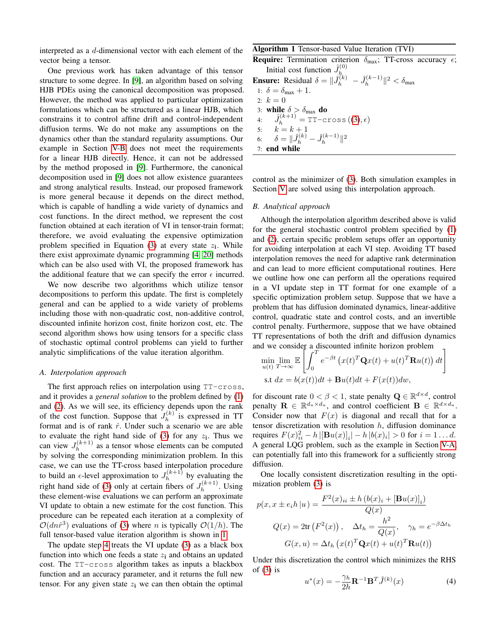interpreted as a d-dimensional vector with each element of the vector being a tensor.

One previous work has taken advantage of this tensor structure to some degree. In [\[9\]](#page-8-20), an algorithm based on solving HJB PDEs using the canonical decomposition was proposed. However, the method was applied to particular optimization formulations which can be structured as a linear HJB, which constrains it to control affine drift and control-independent diffusion terms. We do not make any assumptions on the dynamics other than the standard regularity assumptions. Our example in Section [V-B](#page-6-0) does not meet the requirements for a linear HJB directly. Hence, it can not be addressed by the method proposed in [\[9\]](#page-8-20). Furthermore, the canonical decomposition used in [\[9\]](#page-8-20) does not allow existence guarantees and strong analytical results. Instead, our proposed framework is more general because it depends on the direct method, which is capable of handling a wide variety of dynamics and cost functions. In the direct method, we represent the cost function obtained at each iteration of VI in tensor-train format; therefore, we avoid evaluating the expensive optimization problem specified in Equation  $(3)$  at every state  $z_i$ . While there exist approximate dynamic programming [\[4,](#page-8-21) [20\]](#page-8-22) methods which can be also used with VI, the proposed framework has the additional feature that we can specify the error  $\epsilon$  incurred.

We now describe two algorithms which utilize tensor decompositions to perform this update. The first is completely general and can be applied to a wide variety of problems including those with non-quadratic cost, non-additive control, discounted infinite horizon cost, finite horizon cost, etc. The second algorithm shows how using tensors for a specific class of stochastic optimal control problems can yield to further analytic simplifications of the value iteration algorithm.

### <span id="page-4-2"></span>*A. Interpolation approach*

The first approach relies on interpolation using TT-cross, and it provides a *general solution* to the problem defined by [\(1\)](#page-1-1) and [\(2\)](#page-1-2). As we will see, its efficiency depends upon the rank of the cost function. Suppose that  $J_h^{(k)}$  $h^{(k)}$  is expressed in TT format and is of rank  $\hat{r}$ . Under such a scenario we are able to evaluate the right hand side of  $(3)$  for any  $z_i$ . Thus we can view  $J_h^{(k+1)}$  $h^{(k+1)}$  as a tensor whose elements can be computed by solving the corresponding minimization problem. In this case, we can use the TT-cross based interpolation procedure to build an  $\epsilon$ -level approximation to  $J_h^{(k+1)}$  $h^{(k+1)}$  by evaluating the right hand side of [\(3\)](#page-2-1) only at certain fibers of  $J_h^{(k+1)}$  $h^{(k+1)}$ . Using these element-wise evaluations we can perform an approximate VI update to obtain a new estimate for the cost function. This procedure can be repeated each iteration at a complexity of  $O(dn\hat{r}^3)$  evaluations of [\(3\)](#page-2-1) where *n* is typically  $O(1/h)$ . The full tensor-based value iteration algorithm is shown in [1.](#page-4-0)

The update step [4](#page-4-1) treats the VI update [\(3\)](#page-2-1) as a black box function into which one feeds a state  $z_i$  and obtains an updated cost. The TT-cross algorithm takes as inputs a blackbox function and an accuracy parameter, and it returns the full new tensor. For any given state  $z_i$  we can then obtain the optimal

## Algorithm 1 Tensor-based Value Iteration (TVI)

<span id="page-4-0"></span>**Require:** Termination criterion  $\delta_{\text{max}}$ ; TT-cross accuracy  $\epsilon$ ; Initial cost function  $\hat{J}_h^{(0)}$ 

<span id="page-4-1"></span>**Ensure:** Residual  $\delta = ||\hat{J}_h^{(k)} - \hat{J}_h^{(k-1)}||^2 < \delta_{\text{max}}$ 1:  $\delta = \delta_{\text{max}} + 1$ . 2:  $k = 0$ 3: while  $\delta > \delta_{\text{max}}$  do 4:  $\hat{J}_h^{(k+1)} = \text{TT-cross}\left( (3), \epsilon \right)$  $\hat{J}_h^{(k+1)} = \text{TT-cross}\left( (3), \epsilon \right)$  $\hat{J}_h^{(k+1)} = \text{TT-cross}\left( (3), \epsilon \right)$ 5:  $k = k + 1$ 6:  $\delta = \|\hat{J}_h^{(k)} - \hat{J}_h^{(k-1)}\|^2$ 7: end while

control as the minimizer of [\(3\)](#page-2-1). Both simulation examples in Section [V](#page-6-1) are solved using this interpolation approach.

#### <span id="page-4-3"></span>*B. Analytical approach*

Although the interpolation algorithm described above is valid for the general stochastic control problem specified by [\(1\)](#page-1-1) and [\(2\)](#page-1-2), certain specific problem setups offer an opportunity for avoiding interpolation at each VI step. Avoiding TT based interpolation removes the need for adaptive rank determination and can lead to more efficient computational routines. Here we outline how one can perform all the operations required in a VI update step in TT format for one example of a specific optimization problem setup. Suppose that we have a problem that has diffusion dominated dynamics, linear-additive control, quadratic state and control costs, and an invertible control penalty. Furthermore, suppose that we have obtained TT representations of both the drift and diffusion dynamics and we consider a discounted infinite horizon problem \_

$$
\min_{u(t)} \lim_{T \to \infty} \mathbb{E} \left[ \int_0^T e^{-\beta t} \left( x(t)^T \mathbf{Q} x(t) + u(t)^T \mathbf{R} u(t) \right) dt \right]
$$
  
s.t  $dx = b(x(t))dt + \mathbf{B}u(t)dt + F(x(t))dw$ ,

for discount rate  $0 < \beta < 1$ , state penalty  $\mathbf{Q} \in \mathbb{R}^{d \times d}$ , control penalty  $\mathbf{R} \in \mathbb{R}^{d_u \times d_u}$ , and control coefficient  $\mathbf{B} \in \mathbb{R}^{d \times d_u}$ . Consider now that  $F(x)$  is diagonal and recall that for a tensor discretization with resolution  $h$ , diffusion dominance requires  $F(x)_{ii}^2 - h |[{\bf B}u(x)]_i| - h |b(x)_i| > 0$  for  $i = 1...d$ . A general LQG problem, such as the example in Section [V-A,](#page-6-2) can potentially fall into this framework for a sufficiently strong diffusion.

One locally consistent discretization resulting in the optimization problem [\(3\)](#page-2-1) is

$$
p(x, x \pm e_i h | u) = \frac{F^2(x)_{ii} \pm h (b(x)_i + [\mathbf{B}u(x)]_i)}{Q(x)}
$$

$$
Q(x) = 2\text{tr}(F^2(x)), \quad \Delta t_h = \frac{h^2}{Q(x)}, \quad \gamma_h = e^{-\beta \Delta t_h}
$$

$$
G(x, u) = \Delta t_h (x(t)^T \mathbf{Q}x(t) + u(t)^T \mathbf{R}u(t))
$$

Under this discretization the control which minimizes the RHS of  $(3)$  is

$$
u^*(x) = -\frac{\gamma_h}{2h} \mathbf{R}^{-1} \mathbf{B}^T \tilde{J}^{(k)}(x)
$$
 (4)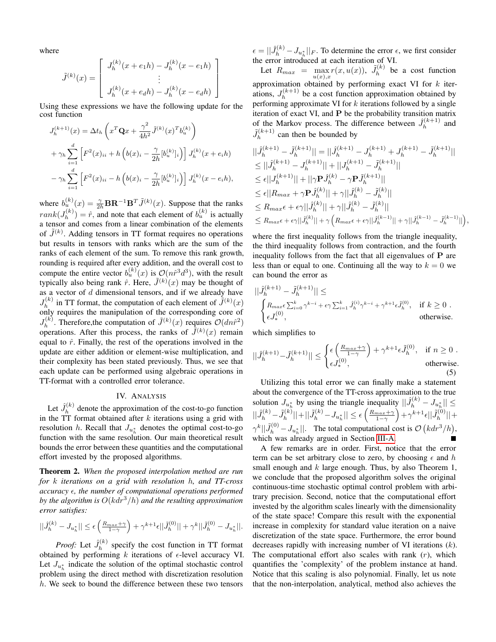where

$$
\tilde{J}^{(k)}(x) = \begin{bmatrix} J_h^{(k)}(x + e_1 h) - J_h^{(k)}(x - e_1 h) \\ \vdots \\ J_h^{(k)}(x + e_d h) - J_h^{(k)}(x - e_d h) \end{bmatrix}
$$

Using these expressions we have the following update for the cost function

$$
J_h^{(k+1)}(x) = \Delta t_h \left( x^T \mathbf{Q} x + \frac{\gamma^2}{4h^2} \tilde{J}^{(k)}(x)^T b_u^{(k)} \right)
$$
  
+  $\gamma_h \sum_{i=1}^d \left[ F^2(x)_{ii} + h \left( b(x)_i - \frac{\gamma}{2h} [b_u^{(k)}]_i \right) \right] J_h^{(k)}(x + e_i h)$   
-  $\gamma_h \sum_{i=1}^d \left[ F^2(x)_{ii} - h \left( b(x)_i - \frac{\gamma}{2h} [b_u^{(k)}]_i \right) \right] J_h^{(k)}(x - e_i h),$ 

where  $b_u^{(k)}(x) = \frac{\gamma}{2h} \mathbf{B} \mathbf{R}^{-1} \mathbf{B}^T \tilde{J}^{(k)}(x)$ . Suppose that the ranks  $rank(J^{(k)}_h$  $\binom{k}{h}$  =  $\hat{r}$ , and note that each element of  $b_u^{(k)}$  is actually a tensor and comes from a linear combination of the elements of  $\tilde{J}^{(k)}$ . Adding tensors in TT format requires no operations but results in tensors with ranks which are the sum of the ranks of each element of the sum. To remove this rank growth, rounding is required after every addition, and the overall cost to compute the entire vector  $b_u^{(k)}(x)$  is  $\mathcal{O}(n\hat{r}^3 d^3)$ , with the result typically also being rank  $\hat{r}$ . Here,  $\tilde{J}^{(k)}(x)$  may be thought of as a vector of  $d$  dimensional tensors, and if we already have  $J_h^{(k)}$  $h_h^{(k)}$  in TT format, the computation of each element of  $\tilde{J}^{(k)}(x)$ only requires the manipulation of the corresponding core of  $J_h^{(k)}$  $h^{(k)}$ . Therefore, the computation of  $\tilde{J}^{(k)}(x)$  requires  $\mathcal{O}(dn\hat{r}^2)$ operations. After this process, the ranks of  $\tilde{J}^{(k)}(x)$  remain equal to  $\hat{r}$ . Finally, the rest of the operations involved in the update are either addition or element-wise multiplication, and their complexity has been stated previously. Thus, we see that each update can be performed using algebraic operations in TT-format with a controlled error tolerance.

## IV. ANALYSIS

<span id="page-5-0"></span>Let  $\hat{J}_h^{(k)}$  $h_h^{(k)}$  denote the approximation of the cost-to-go function in the TT format obtained after  $k$  iterations using a grid with resolution h. Recall that  $J_{u_h^*}$  denotes the optimal cost-to-go function with the same resolution. Our main theoretical result bounds the error between these quantities and the computational effort invested by the proposed algorithms.

Theorem 2. *When the proposed interpolation method are run for* k *iterations on a grid with resolution* h*, and TT-cross accuracy , the number of computational operations performed by the algorithm is*  $O(kdr^3/h)$  *and the resulting approximation error satisfies:*

$$
||\hat{J}_h^{(k)}-J_{u_h^*}||\leq \epsilon\left(\tfrac{R_{max}+\gamma}{1-\gamma}\right)+\gamma^{k+1}\epsilon||\tilde{J}_h^{(0)}||+\gamma^k||\tilde{J}_h^{(0)}-J_{u_h^*}||.
$$

*Proof:* Let  $\hat{J}_h^{(k)}$  $h^{(k)}$  specify the cost function in TT format obtained by performing  $k$  iterations of  $\epsilon$ -level accuracy VI. Let  $J_{u_h^*}$  indicate the solution of the optimal stochastic control problem using the direct method with discretization resolution h. We seek to bound the difference between these two tensors

 $\epsilon = ||\hat{J}_h^{(k)} - J_{u_h^*}||_F$ . To determine the error  $\epsilon$ , we first consider the error introduced at each iteration of VI.

Let  $R_{max} = \max_{u(x),x} r(x, u(x)), \tilde{J}_h^{(k)}$  $h^{(k)}$  be a cost function approximation obtained by performing exact VI for  $k$  iterations,  $J_h^{(k+1)}$  $h^{(k+1)}$  be a cost function approximation obtained by performing approximate VI for  $k$  iterations followed by a single iteration of exact VI, and P be the probability transition matrix of the Markov process. The difference between  $\hat{J}_h^{(k+1)}$  $h^{(k+1)}$  and  $\tilde J_h^{(k+1)}$  $h^{(k+1)}$  can then be bounded by

$$
\begin{split}\n||\hat{J}_{h}^{(k+1)} - \tilde{J}_{h}^{(k+1)}|| &= ||\hat{J}_{h}^{(k+1)} - J_{h}^{(k+1)} + J_{h}^{(k+1)} - \tilde{J}_{h}^{(k+1)}|| \\
&\leq ||\hat{J}_{h}^{(k+1)} - J_{h}^{(k+1)}|| + ||J_{h}^{(k+1)} - \tilde{J}_{h}^{(k+1)}|| \\
&\leq \epsilon ||J_{h}^{(k+1)}|| + ||\gamma \mathbf{P} \hat{J}_{h}^{(k)} - \gamma \mathbf{P} \tilde{J}_{h}^{(k+1)}|| \\
&\leq \epsilon ||R_{max} + \gamma \mathbf{P} \hat{J}_{h}^{(k)}|| + \gamma ||\hat{J}_{h}^{(k)} - \tilde{J}_{h}^{(k)}|| \\
&\leq R_{max} \epsilon + \epsilon \gamma ||\hat{J}_{h}^{(k)}|| + \gamma ||\hat{J}_{h}^{(k)} - \tilde{J}_{h}^{(k)}|| \\
&\leq R_{max} \epsilon + \epsilon \gamma ||\hat{J}_{h}^{(k)}|| + \gamma \left(R_{max} \epsilon + \epsilon \gamma ||\hat{J}_{h}^{(k-1)}|| + \gamma ||\hat{J}_{h}^{(k-1)} - \tilde{J}_{h}^{(k-1)}||\right),\n\end{split}
$$

where the first inequality follows from the triangle inequality, the third inequality follows from contraction, and the fourth inequality follows from the fact that all eigenvalues of  $P$  are less than or equal to one. Continuing all the way to  $k = 0$  we can bound the error as

$$
\begin{aligned} ||\hat{J}_h^{(k+1)}-\tilde{J}_h^{(k+1)}||&\leq\\ &\begin{cases} R_{max}\epsilon\sum_{i=0}^k\gamma^{k-i}+\epsilon\gamma\sum_{i=1}^k\hat{J}_h^{(i)}\gamma^{k-i}+\gamma^{k+1}\epsilon\tilde{J}_h^{(0)},&\text{ if }k\geq 0\text{ .}\\ \epsilon J_*^{(0)},&\text{ otherwise.}\end{cases}\end{aligned}
$$

which simplifies to

$$
||\hat{J}_h^{(k+1)} - \tilde{J}_h^{(k+1)}|| \le \begin{cases} \epsilon \left( \frac{R_{max} + \gamma}{1 - \gamma} \right) + \gamma^{k+1} \epsilon \tilde{J}_h^{(0)}, & \text{if } n \ge 0 \\ \epsilon J_*^{(0)}, & \text{otherwise.} \end{cases}
$$
(5)

Utilizing this total error we can finally make a statement about the convergence of the TT-cross approximation to the true solution  $J_{u_h^*}$  by using the triangle inequality  $\|\hat{J}_h^{(k)} - J_{u_h^*}\| \leq$  $||\hat{J}_h^{(k)} - \tilde{J}_h^{(k)}$  $\|\tilde{J}_h^{(k)}\|+\|\tilde{J}_h^{(k)}-J_{u_h^*}\|\leq \epsilon\left(\frac{R_{max}+\gamma}{1-\gamma}\right)$  $\Big)+\gamma^{k+1}\epsilon||\widetilde{J}_h^{(0)}$  $||_h^{(0)}||_+$  $\gamma^k || \tilde{J}_h^{(0)} - J_{u_h^*} ||.$  The total computational cost is  $\mathcal{O}\left(kdr^3/h\right),$ which was already argued in Section [III-A.](#page-4-2)

A few remarks are in order. First, notice that the error term can be set arbitrary close to zero, by choosing  $\epsilon$  and h small enough and  $k$  large enough. Thus, by also Theorem 1, we conclude that the proposed algorithm solves the original continuous-time stochastic optimal control problem with arbitrary precision. Second, notice that the computational effort invested by the algorithm scales linearly with the dimensionality of the state space! Compare this result with the exponential increase in complexity for standard value iteration on a naive discretization of the state space. Furthermore, the error bound decreases rapidly with increasing number of VI iterations (k). The computational effort also scales with rank  $(r)$ , which quantifies the 'complexity' of the problem instance at hand. Notice that this scaling is also polynomial. Finally, let us note that the non-interpolation, analytical, method also achieves the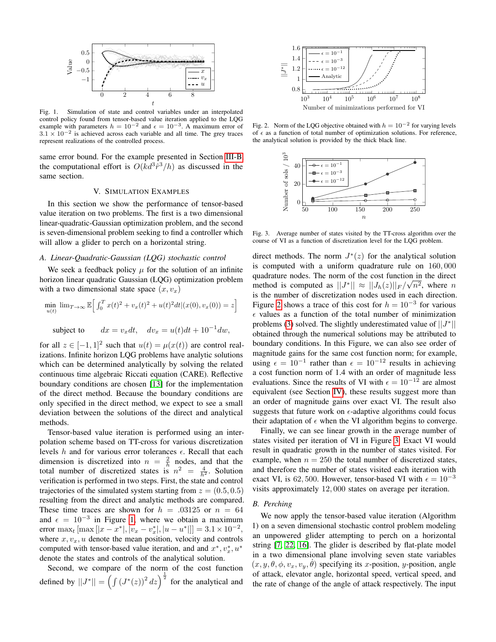

Fig. 1. Simulation of state and control variables under an interpolated control policy found from tensor-based value iteration applied to the LQG example with parameters  $h = 10^{-2}$  and  $\epsilon = 10^{-3}$ . A maximum error of  $3.1 \times 10^{-2}$  is achieved across each variable and all time. The grey traces represent realizations of the controlled process.

same error bound. For the example presented in Section [III-B,](#page-4-3) the computational effort is  $O(kd^3\hat{r}^3/h)$  as discussed in the same section.

### V. SIMULATION EXAMPLES

<span id="page-6-1"></span>In this section we show the performance of tensor-based value iteration on two problems. The first is a two dimensional linear-quadratic-Gaussian optimization problem, and the second is seven-dimensional problem seeking to find a controller which will allow a glider to perch on a horizontal string.

#### <span id="page-6-2"></span>*A. Linear-Quadratic-Gaussian (LQG) stochastic control*

We seek a feedback policy  $\mu$  for the solution of an infinite horizon linear quadratic Gaussian (LQG) optimization problem with a two dimensional state space  $(x, v_x)$ 

$$
\min_{u(t)} \lim_{T \to \infty} \mathbb{E} \Big[ \int_0^T x(t)^2 + v_x(t)^2 + u(t)^2 dt |(x(0), v_x(0)) = z \Big]
$$

subject to  $dx = v_x dt$ ,  $dv_x = u(t)dt + 10^{-1}dw$ ,

for all  $z \in [-1, 1]^2$  such that  $u(t) = \mu(x(t))$  are control realizations. Infinite horizon LQG problems have analytic solutions which can be determined analytically by solving the related continuous time algebraic Riccati equation (CARE). Reflective boundary conditions are chosen [\[13\]](#page-8-7) for the implementation of the direct method. Because the boundary conditions are only specified in the direct method, we expect to see a small deviation between the solutions of the direct and analytical methods.

Tensor-based value iteration is performed using an interpolation scheme based on TT-cross for various discretization levels h and for various error tolerances  $\epsilon$ . Recall that each dimension is discretized into  $n = \frac{2}{h}$  nodes, and that the total number of discretized states is  $n^2 = \frac{4}{h^2}$ . Solution verification is performed in two steps. First, the state and control trajectories of the simulated system starting from  $z = (0.5, 0.5)$ resulting from the direct and analytic methods are compared. These time traces are shown for  $h = .03125$  or  $n = 64$ and  $\epsilon = 10^{-3}$  in Figure [1,](#page-6-3) where we obtain a maximum error  $\max_t [ \max[|x - x^*|, |v_x - v_x^*|, |u - u^*| ] ] = 3.1 \times 10^{-2}$ , where  $x, v_x, u$  denote the mean position, velocity and controls computed with tensor-based value iteration, and and  $x^*, v_x^*, u^*$ denote the states and controls of the analytical solution.

Second, we compare of the norm of the cost function defined by  $||J^*|| = \left(\int (J^*(z))^2 dz\right)^{\frac{1}{2}}$  for the analytical and



<span id="page-6-3"></span>Fig. 2. Norm of the LQG objective obtained with  $h = 10^{-2}$  for varying levels of  $\epsilon$  as a function of total number of optimization solutions. For reference, the analytical solution is provided by the thick black line.

<span id="page-6-5"></span><span id="page-6-4"></span>

Fig. 3. Average number of states visited by the TT-cross algorithm over the course of VI as a function of discretization level for the LQG problem.

direct methods. The norm  $J^*(z)$  for the analytical solution is computed with a uniform quadrature rule on 160, 000 quadrature nodes. The norm of the cost function in the direct method is computed as  $||J^*|| \approx ||J_h(z)||_F/\sqrt{n^2}$ , where n is the number of discretization nodes used in each direction. Figure [2](#page-6-4) shows a trace of this cost for  $h = 10^{-3}$  for various  $\epsilon$  values as a function of the total number of minimization problems [\(3\)](#page-2-1) solved. The slightly underestimated value of  $||J^*||$ obtained through the numerical solutions may be attributed to boundary conditions. In this Figure, we can also see order of magnitude gains for the same cost function norm; for example, using  $\epsilon = 10^{-1}$  rather than  $\epsilon = 10^{-12}$  results in achieving a cost function norm of 1.4 with an order of magnitude less evaluations. Since the results of VI with  $\epsilon = 10^{-12}$  are almost equivalent (see Section [IV\)](#page-5-0), these results suggest more than an order of magnitude gains over exact VI. The result also suggests that future work on  $\epsilon$ -adaptive algorithms could focus their adaptation of  $\epsilon$  when the VI algorithm begins to converge.

Finally, we can see linear growth in the average number of states visited per iteration of VI in Figure [3.](#page-6-5) Exact VI would result in quadratic growth in the number of states visited. For example, when  $n = 250$  the total number of discretized states, and therefore the number of states visited each iteration with exact VI, is 62, 500. However, tensor-based VI with  $\epsilon = 10^{-3}$ visits approximately 12, 000 states on average per iteration.

## <span id="page-6-0"></span>*B. Perching*

We now apply the tensor-based value iteration (Algorithm 1) on a seven dimensional stochastic control problem modeling an unpowered glider attempting to perch on a horizontal string [\[7,](#page-8-23) [22,](#page-8-24) [16\]](#page-8-25). The glider is described by flat-plate model in a two dimensional plane involving seven state variables  $(x, y, \theta, \phi, v_x, v_y, \dot{\theta})$  specifying its x-position, y-position, angle of attack, elevator angle, horizontal speed, vertical speed, and the rate of change of the angle of attack respectively. The input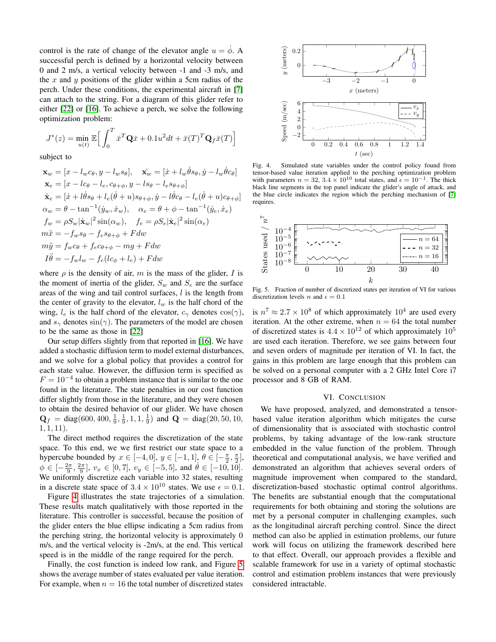control is the rate of change of the elevator angle  $u = \dot{\phi}$ . A successful perch is defined by a horizontal velocity between 0 and 2 m/s, a vertical velocity between -1 and -3 m/s, and the  $x$  and  $y$  positions of the glider within a 5cm radius of the perch. Under these conditions, the experimental aircraft in [\[7\]](#page-8-23) can attach to the string. For a diagram of this glider refer to either [\[22\]](#page-8-24) or [\[16\]](#page-8-25). To achieve a perch, we solve the following optimization problem:

$$
J^*(z) = \min_{u(t)} \mathbb{E}\Big[\int_0^T \bar{x}^T \mathbf{Q}\bar{x} + 0.1u^2 dt + \bar{x}(T)^T \mathbf{Q}_f \bar{x}(T)\Big]
$$

subject to

$$
\mathbf{x}_{w} = [x - l_{w}c_{\theta}, y - l_{w}s_{\theta}], \quad \dot{\mathbf{x}_{w}} = [\dot{x} + l_{w}\dot{\theta}s_{\theta}, \dot{y} - l_{w}\dot{\theta}c_{\theta}]
$$
\n
$$
\mathbf{x}_{e} = [x - l c_{\theta} - l_{e}, c_{\theta + \phi}, y - l s_{\theta} - l_{e}s_{\theta + \phi}]
$$
\n
$$
\dot{\mathbf{x}}_{e} = [\dot{x} + l\dot{\theta}s_{\theta} + l_{e}(\dot{\theta} + u)s_{\theta + \phi}, \dot{y} - l\dot{\theta}c_{\theta} - l_{e}(\dot{\theta} + u)c_{\theta + \phi}]
$$
\n
$$
\alpha_{w} = \theta - \tan^{-1}(\dot{y}_{w}, \dot{x}_{w}), \quad \alpha_{e} = \theta + \phi - \tan^{-1}(\dot{y}_{e}, \dot{x}_{e})
$$
\n
$$
f_{w} = \rho S_{w} |\dot{\mathbf{x}}_{w}|^{2} \sin(\alpha_{w}), \quad f_{e} = \rho S_{e} |\dot{\mathbf{x}}_{e}|^{2} \sin(\alpha_{e})
$$
\n
$$
m\ddot{x} = -f_{w}s_{\theta} - f_{e}s_{\theta + \phi} + Fdw
$$
\n
$$
m\ddot{y} = f_{w}c_{\theta} + f_{e}c_{\theta + \phi} - mg + Fdw
$$
\n
$$
I\ddot{\theta} = -f_{w}l_{w} - f_{e}(l c_{\phi} + l_{e}) + Fdw
$$

where  $\rho$  is the density of air, m is the mass of the glider, I is the moment of inertia of the glider,  $S_w$  and  $S_e$  are the surface areas of the wing and tail control surfaces,  $l$  is the length from the center of gravity to the elevator,  $l_w$  is the half chord of the wing,  $l_e$  is the half chord of the elevator,  $c_\gamma$  denotes  $\cos(\gamma)$ , and  $s_{\gamma}$  denotes  $\sin(\gamma)$ . The parameters of the model are chosen to be the same as those in [\[22\]](#page-8-24)

Our setup differs slightly from that reported in [\[16\]](#page-8-25). We have added a stochastic diffusion term to model external disturbances, and we solve for a global policy that provides a control for each state value. However, the diffusion term is specified as  $F = 10^{-4}$  to obtain a problem instance that is similar to the one found in the literature. The state penalties in our cost function differ slightly from those in the literature, and they were chosen to obtain the desired behavior of our glider. We have chosen  $\mathbf{Q}_f = \text{diag}(600, 400, \frac{1}{9}, \frac{1}{9}, 1, 1, \frac{1}{9})$  and  $\mathbf{Q} = \text{diag}(20, 50, 10,$ 1, 1, 11).

The direct method requires the discretization of the state space. To this end, we we first restrict our state space to a hypercube bounded by  $x \in [-4, 0], y \in [-1, 1], \theta \in [-\frac{\pi}{2}, \frac{\pi}{2}],$  $\phi \in [-\frac{2\pi}{9}, \frac{2\pi}{9}], v_x \in [0, 7], v_y \in [-5, 5]$ , and  $\dot{\theta} \in [-10, 10]$ . We uniformly discretize each variable into 32 states, resulting in a discrete state space of  $3.4 \times 10^{10}$  states. We use  $\epsilon = 0.1$ .

Figure [4](#page-7-0) illustrates the state trajectories of a simulation. These results match qualitatively with those reported in the literature. This controller is successful, because the position of the glider enters the blue ellipse indicating a 5cm radius from the perching string, the horizontal velocity is approximately 0 m/s, and the vertical velocity is -2m/s, at the end. This vertical speed is in the middle of the range required for the perch.

Finally, the cost function is indeed low rank, and Figure [5](#page-7-1) shows the average number of states evaluated per value iteration. For example, when  $n = 16$  the total number of discretized states



<span id="page-7-0"></span>Fig. 4. Simulated state variables under the control policy found from tensor-based value iteration applied to the perching optimization problem with parameters  $n = 32, 3.4 \times 10^{10}$  total states, and  $\epsilon = 10^{-1}$ . The thick black line segments in the top panel indicate the glider's angle of attack, and the blue circle indicates the region which the perching mechanism of [\[7\]](#page-8-23) requires.



Fig. 5. Fraction of number of discretized states per iteration of VI for various discretization levels n and  $\epsilon = 0.1$ 

is  $n^7 \approx 2.7 \times 10^8$  of which approximately  $10^4$  are used every iteration. At the other extreme, when  $n = 64$  the total number of discretized states is  $4.4 \times 10^{12}$  of which approximately  $10^5$ are used each iteration. Therefore, we see gains between four and seven orders of magnitude per iteration of VI. In fact, the gains in this problem are large enough that this problem can be solved on a personal computer with a 2 GHz Intel Core i7 processor and 8 GB of RAM.

#### <span id="page-7-1"></span>VI. CONCLUSION

We have proposed, analyzed, and demonstrated a tensorbased value iteration algorithm which mitigates the curse of dimensionality that is associated with stochastic control problems, by taking advantage of the low-rank structure embedded in the value function of the problem. Through theoretical and computational analysis, we have verified and demonstrated an algorithm that achieves several orders of magnitude improvement when compared to the standard, discretization-based stochastic optimal control algorithms. The benefits are substantial enough that the computational requirements for both obtaining and storing the solutions are met by a personal computer in challenging examples, such as the longitudinal aircraft perching control. Since the direct method can also be applied in estimation problems, our future work will focus on utilizing the framework described here to that effect. Overall, our approach provides a flexible and scalable framework for use in a variety of optimal stochastic control and estimation problem instances that were previously considered intractable.